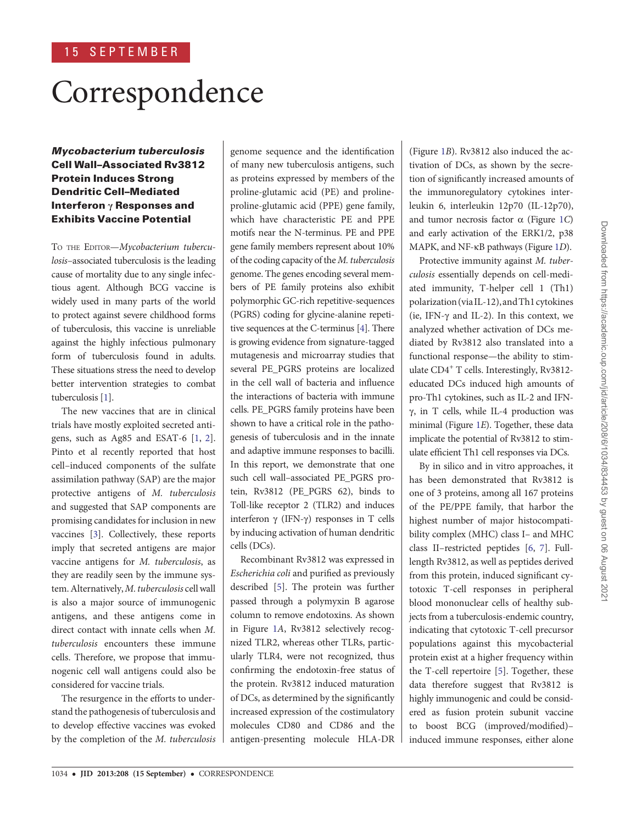# **Correspondence**

Mycobacterium tuberculosis Cell Wall–Associated Rv3812 Protein Induces Strong Dendritic Cell–Mediated Interferon γ Responses and Exhibits Vaccine Potential

TO THE EDITOR-Mycobacterium tuberculosis–associated tuberculosis is the leading cause of mortality due to any single infectious agent. Although BCG vaccine is widely used in many parts of the world to protect against severe childhood forms of tuberculosis, this vaccine is unreliable against the highly infectious pulmonary form of tuberculosis found in adults. These situations stress the need to develop better intervention strategies to combat tuberculosis [1].

The new vaccines that are in clinical trials have mostly exploited secreted antigens, such as Ag85 and ESAT-6 [1, 2]. Pinto et al recently reported that host cell–induced components of the sulfate assimilation pathway (SAP) are the major protective antigens of M. tuberculosis and suggested that SAP components are promising candidates for inclusion in new vaccines [3]. Collectively, these reports imply that secreted antigens are major vaccine antigens for M. tuberculosis, as they are readily seen by the immune system. Alternatively, M. tuberculosis cell wall is also a major source of immunogenic antigens, and these antigens come in direct contact with innate cells when M. tuberculosis encounters these immune cells. Therefore, we propose that immunogenic cell wall antigens could also be considered for vaccine trials.

The resurgence in the efforts to understand the pathogenesis of tuberculosis and to develop effective vaccines was evoked by the completion of the M. tuberculosis genome sequence and the identification of many new tuberculosis antigens, such as proteins expressed by members of the proline-glutamic acid (PE) and prolineproline-glutamic acid (PPE) gene family, which have characteristic PE and PPE motifs near the N-terminus. PE and PPE gene family members represent about 10% of the coding capacity of the M. tuberculosis genome. The genes encoding several members of PE family proteins also exhibit polymorphic GC-rich repetitive-sequences (PGRS) coding for glycine-alanine repetitive sequences at the C-terminus [4]. There is growing evidence from signature-tagged mutagenesis and microarray studies that several PE\_PGRS proteins are localized in the cell wall of bacteria and influence the interactions of bacteria with immune cells. PE\_PGRS family proteins have been shown to have a critical role in the pathogenesis of tuberculosis and in the innate and adaptive immune responses to bacilli. In this report, we demonstrate that one such cell wall–associated PE\_PGRS protein, Rv3812 (PE\_PGRS 62), binds to Toll-like receptor 2 (TLR2) and induces interferon γ (IFN-γ) responses in T cells by inducing activation of human dendritic cells (DCs).

Recombinant Rv3812 was expressed in Escherichia coli and purified as previously described [5]. The protein was further passed through a polymyxin B agarose column to remove endotoxins. As shown in Figure 1A, Rv3812 selectively recognized TLR2, whereas other TLRs, particularly TLR4, were not recognized, thus confirming the endotoxin-free status of the protein. Rv3812 induced maturation of DCs, as determined by the significantly increased expression of the costimulatory molecules CD80 and CD86 and the antigen-presenting molecule HLA-DR

(Figure 1B). Rv3812 also induced the activation of DCs, as shown by the secretion of significantly increased amounts of the immunoregulatory cytokines interleukin 6, interleukin 12p70 (IL-12p70), and tumor necrosis factor  $\alpha$  (Figure 1C) and early activation of the ERK1/2, p38 MAPK, and NF-κB pathways (Figure 1D).

Protective immunity against M. tuberculosis essentially depends on cell-mediated immunity, T-helper cell 1 (Th1) polarization (via IL-12), andTh1 cytokines (ie, IFN-γ and IL-2). In this context, we analyzed whether activation of DCs mediated by Rv3812 also translated into a functional response—the ability to stimulate CD4<sup>+</sup> T cells. Interestingly, Rv3812educated DCs induced high amounts of pro-Th1 cytokines, such as IL-2 and IFNγ, in T cells, while IL-4 production was minimal (Figure 1E). Together, these data implicate the potential of Rv3812 to stimulate efficient Th1 cell responses via DCs.

By in silico and in vitro approaches, it has been demonstrated that Rv3812 is one of 3 proteins, among all 167 proteins of the PE/PPE family, that harbor the highest number of major histocompatibility complex (MHC) class I– and MHC class II–restricted peptides [6, 7]. Fulllength Rv3812, as well as peptides derived from this protein, induced significant cytotoxic T-cell responses in peripheral blood mononuclear cells of healthy subjects from a tuberculosis-endemic country, indicating that cytotoxic T-cell precursor populations against this mycobacterial protein exist at a higher frequency within the T-cell repertoire [5]. Together, these data therefore suggest that Rv3812 is highly immunogenic and could be considered as fusion protein subunit vaccine to boost BCG (improved/modified)– induced immune responses, either alone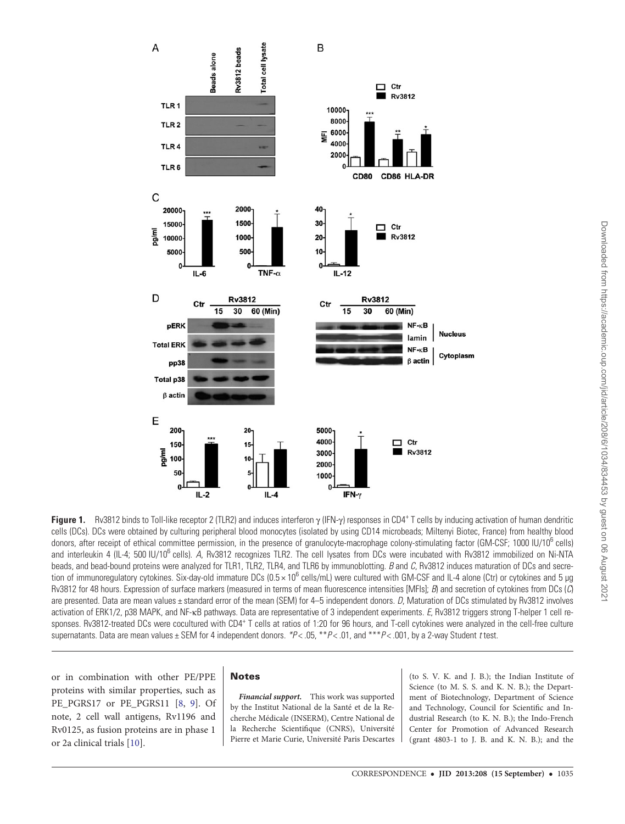

Figure 1. Rv3812 binds to Toll-like receptor 2 (TLR2) and induces interferon γ (IFN-γ) responses in CD4<sup>+</sup> T cells by inducing activation of human dendritic cells (DCs). DCs were obtained by culturing peripheral blood monocytes (isolated by using CD14 microbeads; Miltenyi Biotec, France) from healthy blood donors, after receipt of ethical committee permission, in the presence of granulocyte-macrophage colony-stimulating factor (GM-CSF; 1000 IU/10<sup>6</sup> cells) and interleukin 4 (IL-4; 500 IU/10<sup>6</sup> cells). A, Rv3812 recognizes TLR2. The cell lysates from DCs were incubated with Rv3812 immobilized on Ni-NTA beads, and bead-bound proteins were analyzed for TLR1, TLR2, TLR4, and TLR6 by immunoblotting. B and C, Rv3812 induces maturation of DCs and secretion of immunoregulatory cytokines. Six-day-old immature DCs (0.5 × 10<sup>6</sup> cells/mL) were cultured with GM-CSF and IL-4 alone (Ctr) or cytokines and 5 µg Rv3812 for 48 hours. Expression of surface markers (measured in terms of mean fluorescence intensities [MFIs]; B) and secretion of cytokines from DCs (C) are presented. Data are mean values ± standard error of the mean (SEM) for 4-5 independent donors. D, Maturation of DCs stimulated by Rv3812 involves activation of ERK1/2, p38 MAPK, and NF-κB pathways. Data are representative of 3 independent experiments. E, Rv3812 triggers strong T-helper 1 cell responses. Rv3812-treated DCs were cocultured with CD4<sup>+</sup> T cells at ratios of 1:20 for 96 hours, and T-cell cytokines were analyzed in the cell-free culture supernatants. Data are mean values  $\pm$  SEM for 4 independent donors.  $*P < .05$ ,  $*P < .01$ , and  $*P < .001$ , by a 2-way Student t test.

or in combination with other PE/PPE proteins with similar properties, such as PE\_PGRS17\_or\_PE\_PGRS11 [8, 9]. Of note, 2 cell wall antigens, Rv1196 and Rv0125, as fusion proteins are in phase 1 or 2a clinical trials [10].

## **Notes**

Financial support. This work was supported by the Institut National de la Santé et de la Recherche Médicale (INSERM), Centre National de la Recherche Scientifique (CNRS), Université Pierre et Marie Curie, Université Paris Descartes

(to S. V. K. and J. B.); the Indian Institute of Science (to M. S. S. and K. N. B.); the Department of Biotechnology, Department of Science and Technology, Council for Scientific and Industrial Research (to K. N. B.); the Indo-French Center for Promotion of Advanced Research (grant 4803-1 to J. B. and K. N. B.); and the